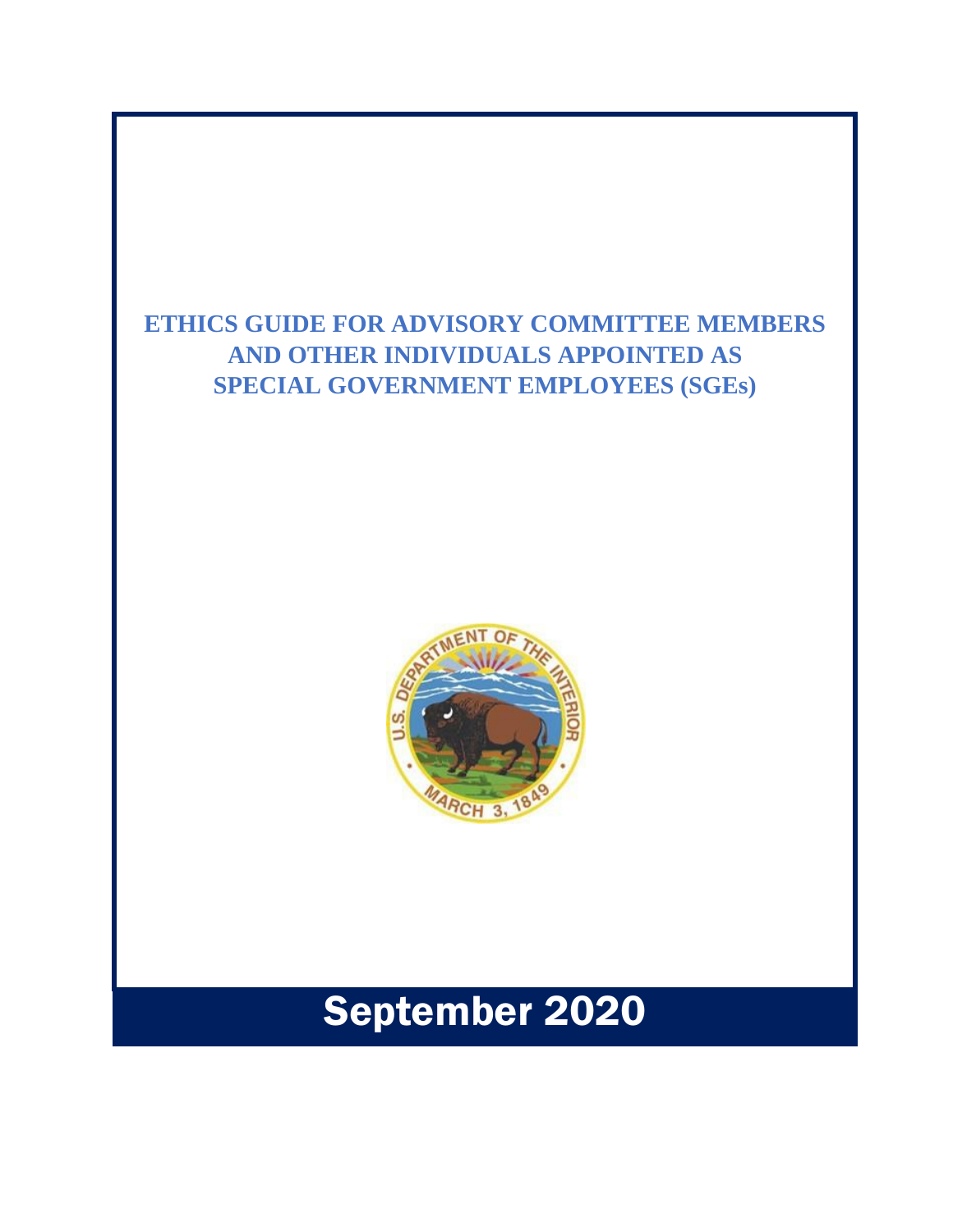### **ETHICS GUIDE FOR ADVISORY COMMITTEE MEMBERS AND OTHER INDIVIDUALS APPOINTED AS SPECIAL GOVERNMENT EMPLOYEES (SGEs)**



# September 2020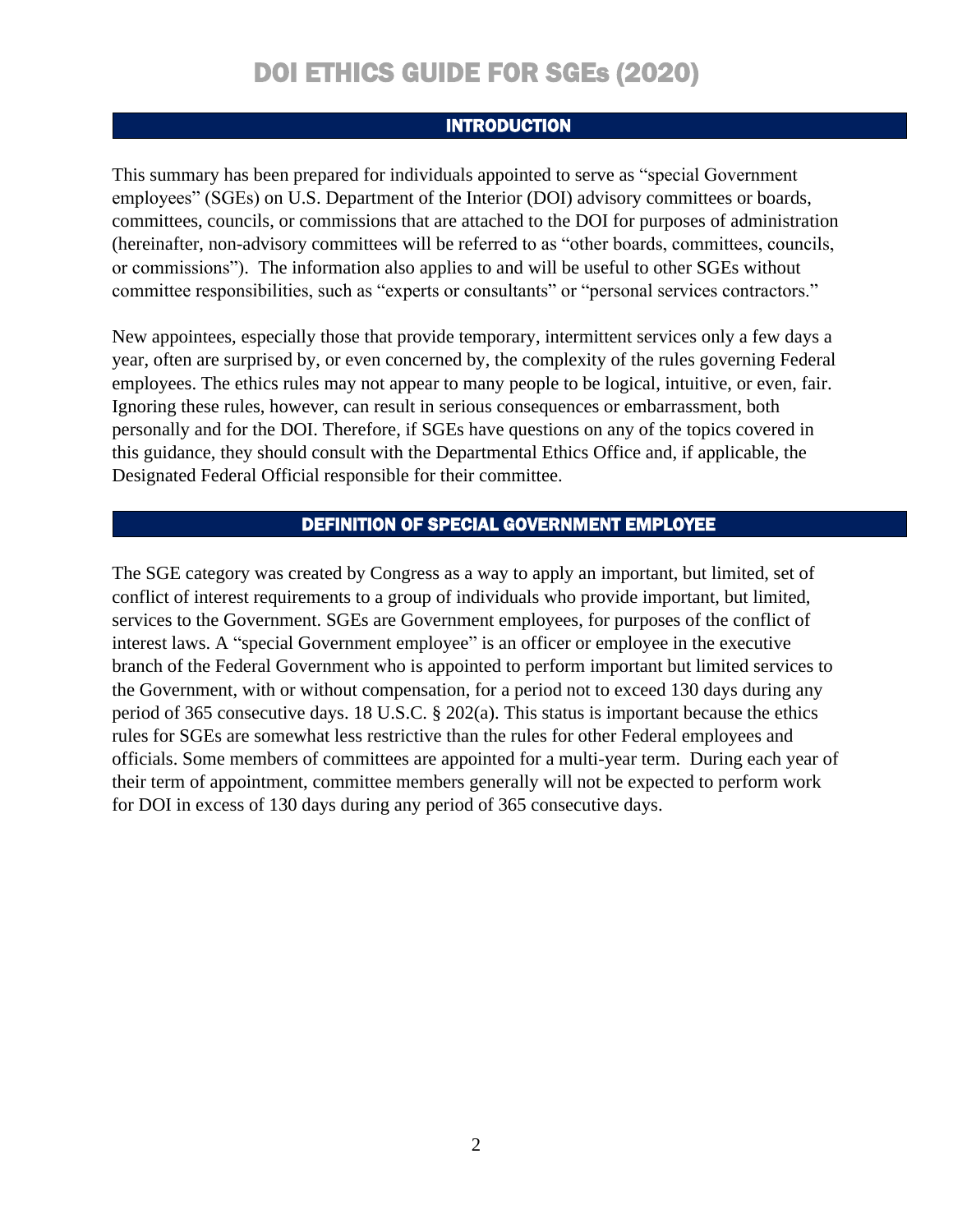### INTRODUCTION

This summary has been prepared for individuals appointed to serve as "special Government employees" (SGEs) on U.S. Department of the Interior (DOI) advisory committees or boards, committees, councils, or commissions that are attached to the DOI for purposes of administration (hereinafter, non-advisory committees will be referred to as "other boards, committees, councils, or commissions"). The information also applies to and will be useful to other SGEs without committee responsibilities, such as "experts or consultants" or "personal services contractors."

New appointees, especially those that provide temporary, intermittent services only a few days a year, often are surprised by, or even concerned by, the complexity of the rules governing Federal employees. The ethics rules may not appear to many people to be logical, intuitive, or even, fair. Ignoring these rules, however, can result in serious consequences or embarrassment, both personally and for the DOI. Therefore, if SGEs have questions on any of the topics covered in this guidance, they should consult with the Departmental Ethics Office and, if applicable, the Designated Federal Official responsible for their committee.

### DEFINITION OF SPECIAL GOVERNMENT EMPLOYEE

The SGE category was created by Congress as a way to apply an important, but limited, set of conflict of interest requirements to a group of individuals who provide important, but limited, services to the Government. SGEs are Government employees, for purposes of the conflict of interest laws. A "special Government employee" is an officer or employee in the executive branch of the Federal Government who is appointed to perform important but limited services to the Government, with or without compensation, for a period not to exceed 130 days during any period of 365 consecutive days. 18 U.S.C. § 202(a). This status is important because the ethics rules for SGEs are somewhat less restrictive than the rules for other Federal employees and officials. Some members of committees are appointed for a multi-year term. During each year of their term of appointment, committee members generally will not be expected to perform work for DOI in excess of 130 days during any period of 365 consecutive days.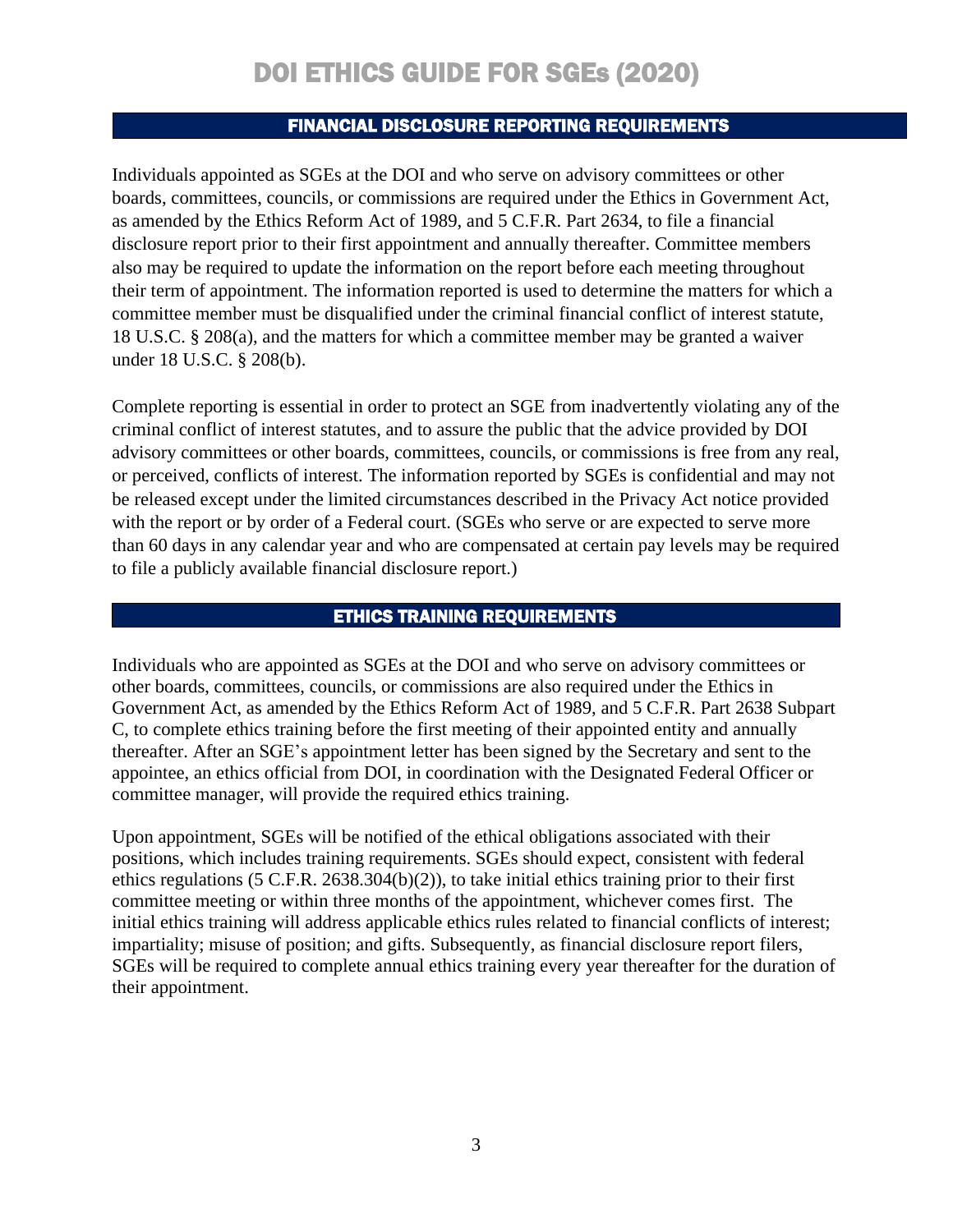#### FINANCIAL DISCLOSURE REPORTING REQUIREMENTS

Individuals appointed as SGEs at the DOI and who serve on advisory committees or other boards, committees, councils, or commissions are required under the Ethics in Government Act, as amended by the Ethics Reform Act of 1989, and 5 C.F.R. Part 2634, to file a financial disclosure report prior to their first appointment and annually thereafter. Committee members also may be required to update the information on the report before each meeting throughout their term of appointment. The information reported is used to determine the matters for which a committee member must be disqualified under the criminal financial conflict of interest statute, 18 U.S.C. § 208(a), and the matters for which a committee member may be granted a waiver under 18 U.S.C. § 208(b).

Complete reporting is essential in order to protect an SGE from inadvertently violating any of the criminal conflict of interest statutes, and to assure the public that the advice provided by DOI advisory committees or other boards, committees, councils, or commissions is free from any real, or perceived, conflicts of interest. The information reported by SGEs is confidential and may not be released except under the limited circumstances described in the Privacy Act notice provided with the report or by order of a Federal court. (SGEs who serve or are expected to serve more than 60 days in any calendar year and who are compensated at certain pay levels may be required to file a publicly available financial disclosure report.)

#### ETHICS TRAINING REQUIREMENTS

Individuals who are appointed as SGEs at the DOI and who serve on advisory committees or other boards, committees, councils, or commissions are also required under the Ethics in Government Act, as amended by the Ethics Reform Act of 1989, and 5 C.F.R. Part 2638 Subpart C, to complete ethics training before the first meeting of their appointed entity and annually thereafter. After an SGE's appointment letter has been signed by the Secretary and sent to the appointee, an ethics official from DOI, in coordination with the Designated Federal Officer or committee manager, will provide the required ethics training.

Upon appointment, SGEs will be notified of the ethical obligations associated with their positions, which includes training requirements. SGEs should expect, consistent with federal ethics regulations (5 C.F.R. 2638.304(b)(2)), to take initial ethics training prior to their first committee meeting or within three months of the appointment, whichever comes first. The initial ethics training will address applicable ethics rules related to financial conflicts of interest; impartiality; misuse of position; and gifts. Subsequently, as financial disclosure report filers, SGEs will be required to complete annual ethics training every year thereafter for the duration of their appointment.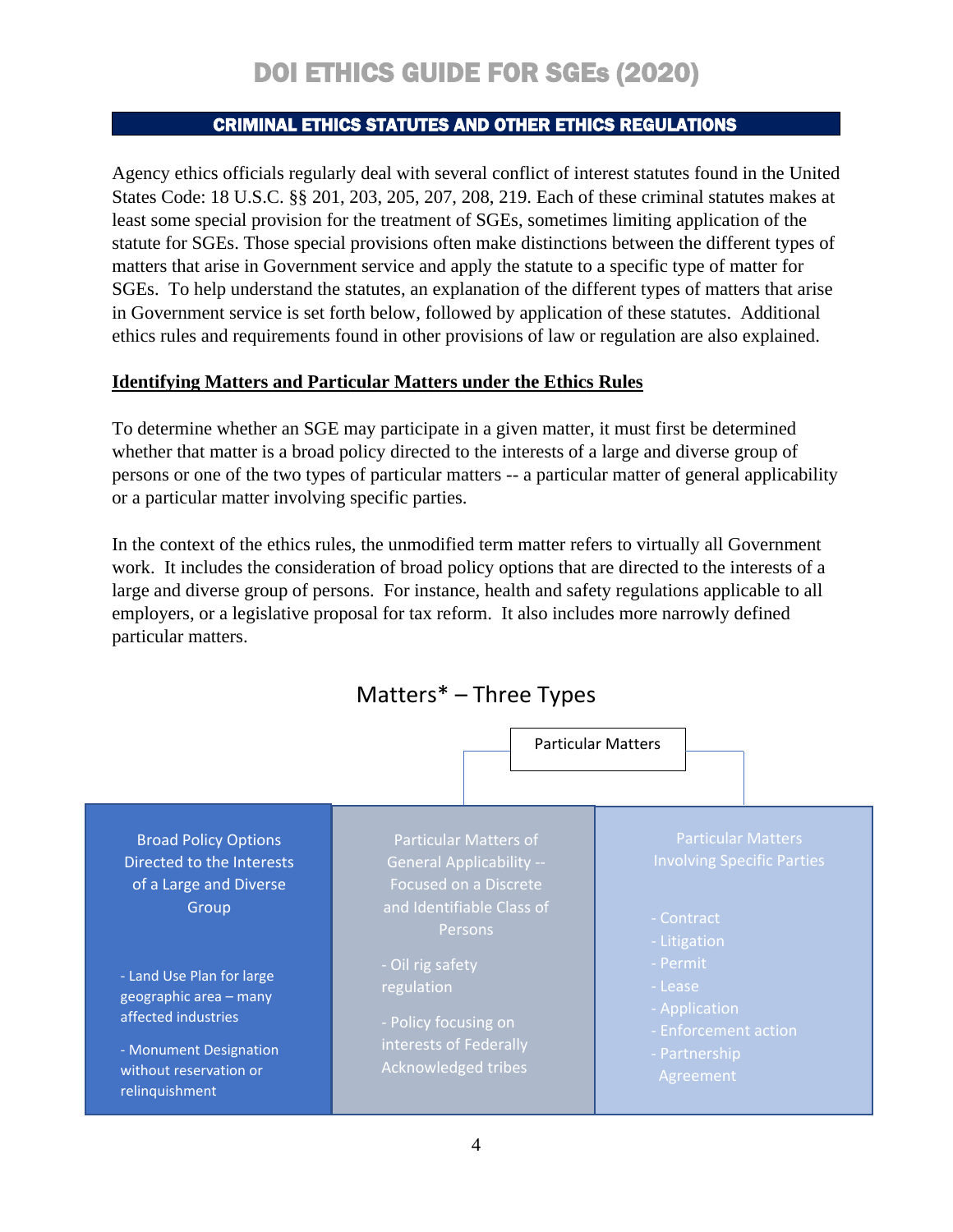### CRIMINAL ETHICS STATUTES AND OTHER ETHICS REGULATIONS

Agency ethics officials regularly deal with several conflict of interest statutes found in the United States Code: 18 U.S.C. §§ 201, 203, 205, 207, 208, 219. Each of these criminal statutes makes at least some special provision for the treatment of SGEs, sometimes limiting application of the statute for SGEs. Those special provisions often make distinctions between the different types of matters that arise in Government service and apply the statute to a specific type of matter for SGEs. To help understand the statutes, an explanation of the different types of matters that arise in Government service is set forth below, followed by application of these statutes. Additional ethics rules and requirements found in other provisions of law or regulation are also explained.

### **Identifying Matters and Particular Matters under the Ethics Rules**

To determine whether an SGE may participate in a given matter, it must first be determined whether that matter is a broad policy directed to the interests of a large and diverse group of persons or one of the two types of particular matters -- a particular matter of general applicability or a particular matter involving specific parties.

In the context of the ethics rules, the unmodified term matter refers to virtually all Government work. It includes the consideration of broad policy options that are directed to the interests of a large and diverse group of persons. For instance, health and safety regulations applicable to all employers, or a legislative proposal for tax reform. It also includes more narrowly defined particular matters.

Matters\* – Three Types

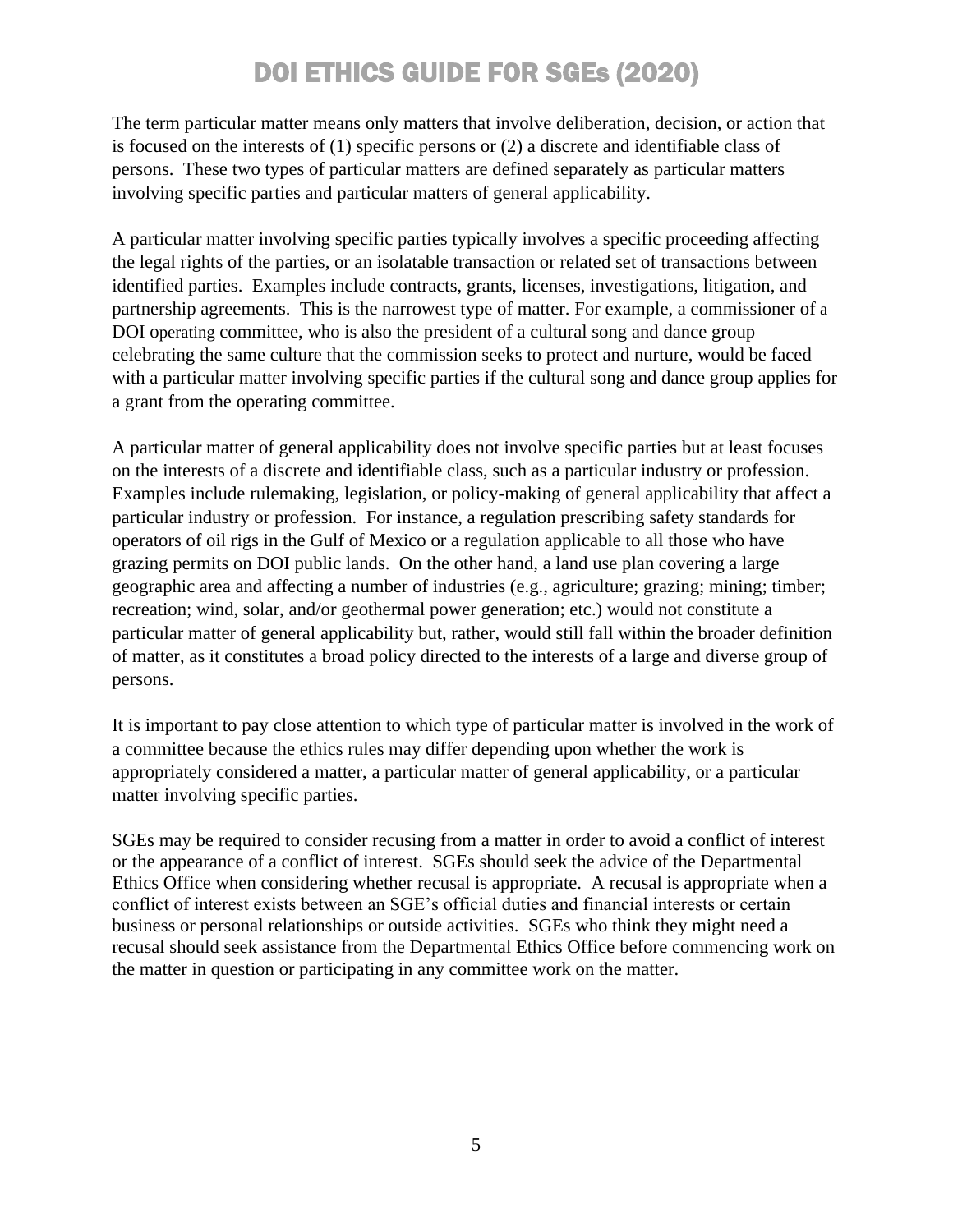The term particular matter means only matters that involve deliberation, decision, or action that is focused on the interests of (1) specific persons or (2) a discrete and identifiable class of persons. These two types of particular matters are defined separately as particular matters involving specific parties and particular matters of general applicability.

A particular matter involving specific parties typically involves a specific proceeding affecting the legal rights of the parties, or an isolatable transaction or related set of transactions between identified parties. Examples include contracts, grants, licenses, investigations, litigation, and partnership agreements. This is the narrowest type of matter. For example, a commissioner of a DOI operating committee, who is also the president of a cultural song and dance group celebrating the same culture that the commission seeks to protect and nurture, would be faced with a particular matter involving specific parties if the cultural song and dance group applies for a grant from the operating committee.

A particular matter of general applicability does not involve specific parties but at least focuses on the interests of a discrete and identifiable class, such as a particular industry or profession. Examples include rulemaking, legislation, or policy-making of general applicability that affect a particular industry or profession. For instance, a regulation prescribing safety standards for operators of oil rigs in the Gulf of Mexico or a regulation applicable to all those who have grazing permits on DOI public lands. On the other hand, a land use plan covering a large geographic area and affecting a number of industries (e.g., agriculture; grazing; mining; timber; recreation; wind, solar, and/or geothermal power generation; etc.) would not constitute a particular matter of general applicability but, rather, would still fall within the broader definition of matter, as it constitutes a broad policy directed to the interests of a large and diverse group of persons.

It is important to pay close attention to which type of particular matter is involved in the work of a committee because the ethics rules may differ depending upon whether the work is appropriately considered a matter, a particular matter of general applicability, or a particular matter involving specific parties.

SGEs may be required to consider recusing from a matter in order to avoid a conflict of interest or the appearance of a conflict of interest. SGEs should seek the advice of the Departmental Ethics Office when considering whether recusal is appropriate. A recusal is appropriate when a conflict of interest exists between an SGE's official duties and financial interests or certain business or personal relationships or outside activities. SGEs who think they might need a recusal should seek assistance from the Departmental Ethics Office before commencing work on the matter in question or participating in any committee work on the matter.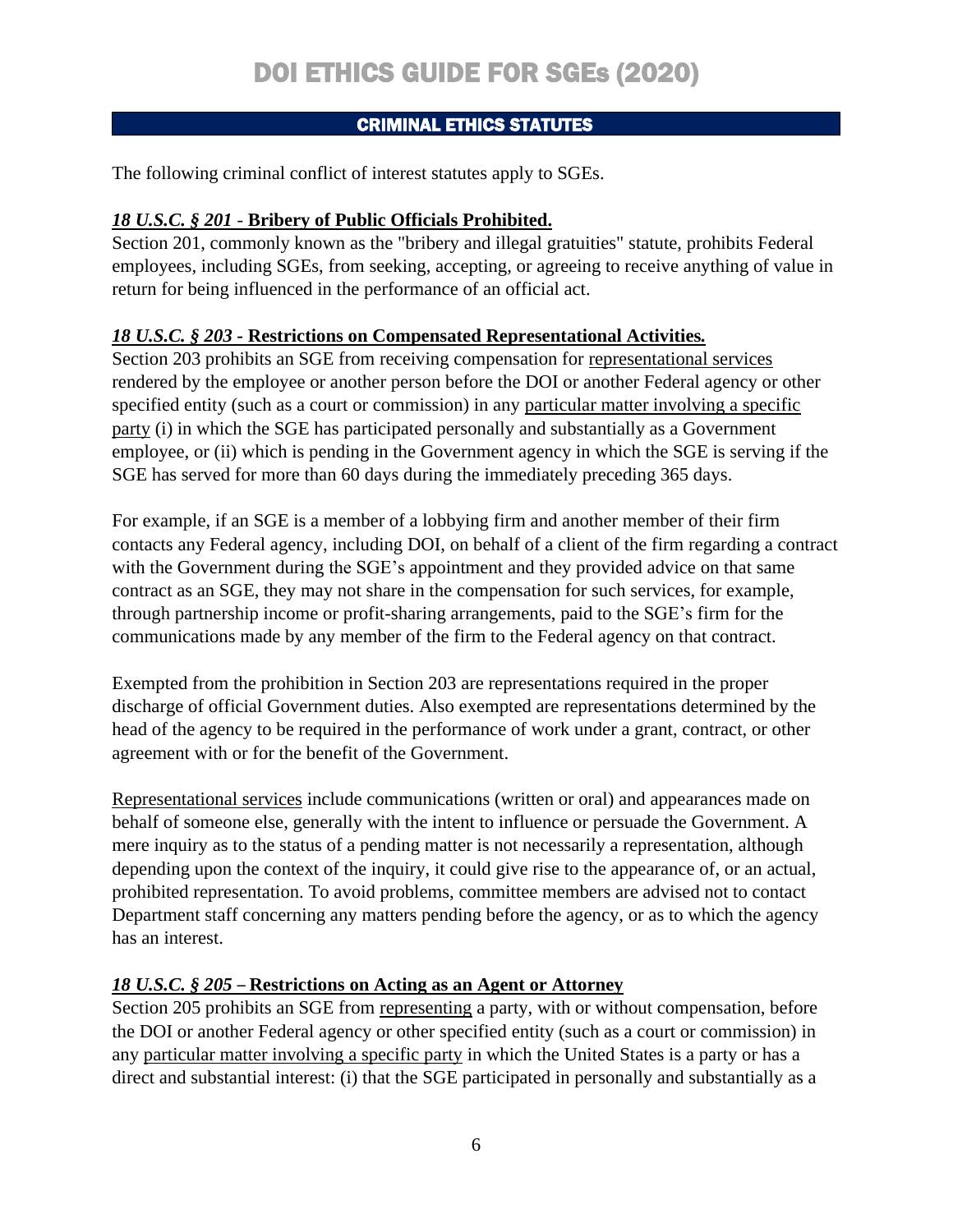### CRIMINAL ETHICS STATUTES

The following criminal conflict of interest statutes apply to SGEs.

### *18 U.S.C. § 201* - **Bribery of Public Officials Prohibited.**

Section 201, commonly known as the "bribery and illegal gratuities" statute, prohibits Federal employees, including SGEs, from seeking, accepting, or agreeing to receive anything of value in return for being influenced in the performance of an official act.

### *18 U.S.C. § 203 -* **Restrictions on Compensated Representational Activities***.*

Section 203 prohibits an SGE from receiving compensation for representational services rendered by the employee or another person before the DOI or another Federal agency or other specified entity (such as a court or commission) in any particular matter involving a specific party (i) in which the SGE has participated personally and substantially as a Government employee, or (ii) which is pending in the Government agency in which the SGE is serving if the SGE has served for more than 60 days during the immediately preceding 365 days.

For example, if an SGE is a member of a lobbying firm and another member of their firm contacts any Federal agency, including DOI, on behalf of a client of the firm regarding a contract with the Government during the SGE's appointment and they provided advice on that same contract as an SGE, they may not share in the compensation for such services, for example, through partnership income or profit-sharing arrangements, paid to the SGE's firm for the communications made by any member of the firm to the Federal agency on that contract.

Exempted from the prohibition in Section 203 are representations required in the proper discharge of official Government duties. Also exempted are representations determined by the head of the agency to be required in the performance of work under a grant, contract, or other agreement with or for the benefit of the Government.

Representational services include communications (written or oral) and appearances made on behalf of someone else, generally with the intent to influence or persuade the Government. A mere inquiry as to the status of a pending matter is not necessarily a representation, although depending upon the context of the inquiry, it could give rise to the appearance of, or an actual, prohibited representation. To avoid problems, committee members are advised not to contact Department staff concerning any matters pending before the agency, or as to which the agency has an interest.

### *18 U.S.C. § 205* – **Restrictions on Acting as an Agent or Attorney**

Section 205 prohibits an SGE from representing a party, with or without compensation, before the DOI or another Federal agency or other specified entity (such as a court or commission) in any particular matter involving a specific party in which the United States is a party or has a direct and substantial interest: (i) that the SGE participated in personally and substantially as a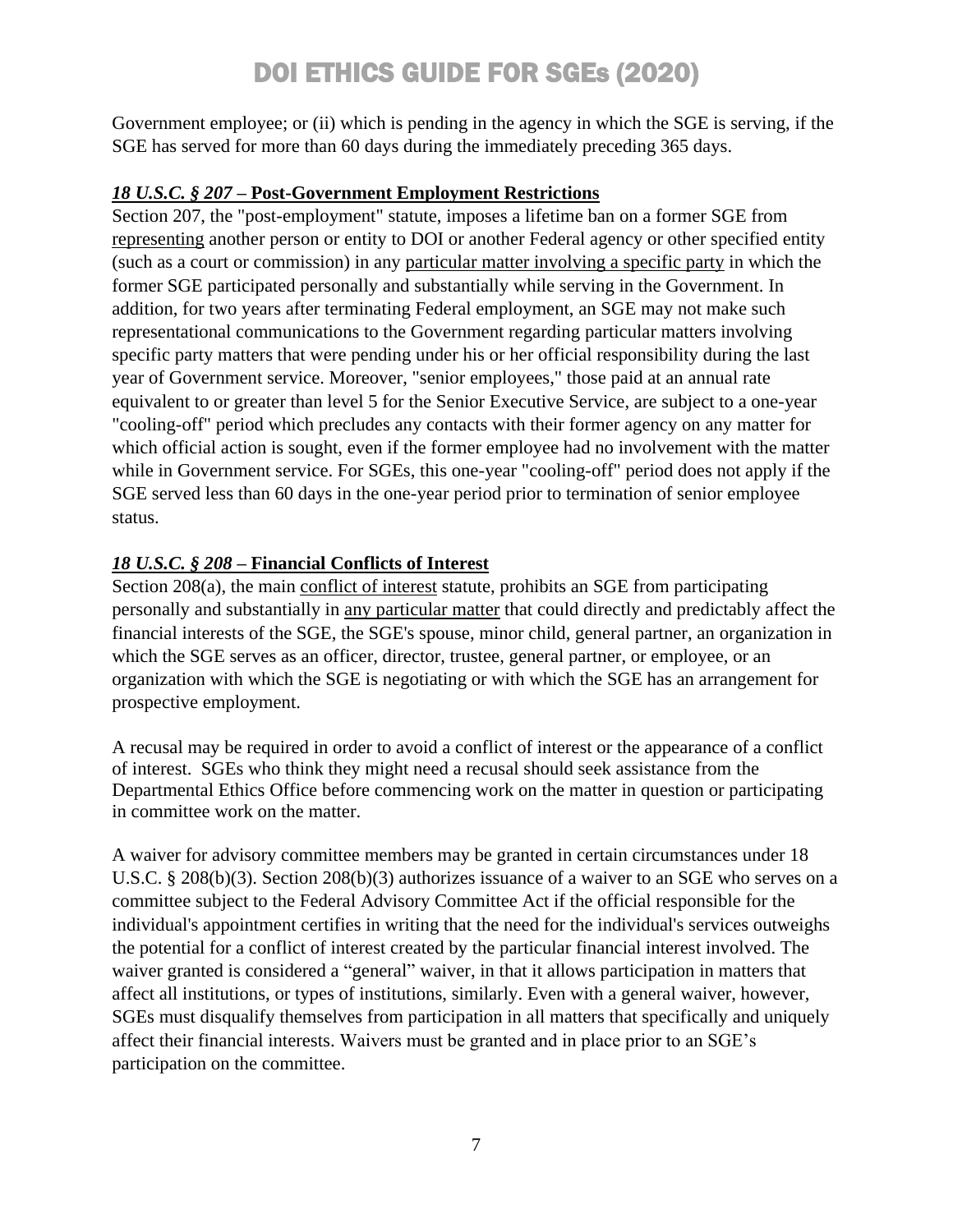Government employee; or (ii) which is pending in the agency in which the SGE is serving, if the SGE has served for more than 60 days during the immediately preceding 365 days.

### *18 U.S.C. § 207* **– Post-Government Employment Restrictions**

Section 207, the "post-employment" statute, imposes a lifetime ban on a former SGE from representing another person or entity to DOI or another Federal agency or other specified entity (such as a court or commission) in any particular matter involving a specific party in which the former SGE participated personally and substantially while serving in the Government. In addition, for two years after terminating Federal employment, an SGE may not make such representational communications to the Government regarding particular matters involving specific party matters that were pending under his or her official responsibility during the last year of Government service. Moreover, "senior employees," those paid at an annual rate equivalent to or greater than level 5 for the Senior Executive Service, are subject to a one-year "cooling-off" period which precludes any contacts with their former agency on any matter for which official action is sought, even if the former employee had no involvement with the matter while in Government service. For SGEs, this one-year "cooling-off" period does not apply if the SGE served less than 60 days in the one-year period prior to termination of senior employee status.

### *18 U.S.C. § 208* **– Financial Conflicts of Interest**

Section 208(a), the main conflict of interest statute, prohibits an SGE from participating personally and substantially in any particular matter that could directly and predictably affect the financial interests of the SGE, the SGE's spouse, minor child, general partner, an organization in which the SGE serves as an officer, director, trustee, general partner, or employee, or an organization with which the SGE is negotiating or with which the SGE has an arrangement for prospective employment.

A recusal may be required in order to avoid a conflict of interest or the appearance of a conflict of interest. SGEs who think they might need a recusal should seek assistance from the Departmental Ethics Office before commencing work on the matter in question or participating in committee work on the matter.

A waiver for advisory committee members may be granted in certain circumstances under 18 U.S.C. § 208(b)(3). Section 208(b)(3) authorizes issuance of a waiver to an SGE who serves on a committee subject to the Federal Advisory Committee Act if the official responsible for the individual's appointment certifies in writing that the need for the individual's services outweighs the potential for a conflict of interest created by the particular financial interest involved. The waiver granted is considered a "general" waiver, in that it allows participation in matters that affect all institutions, or types of institutions, similarly. Even with a general waiver, however, SGEs must disqualify themselves from participation in all matters that specifically and uniquely affect their financial interests. Waivers must be granted and in place prior to an SGE's participation on the committee.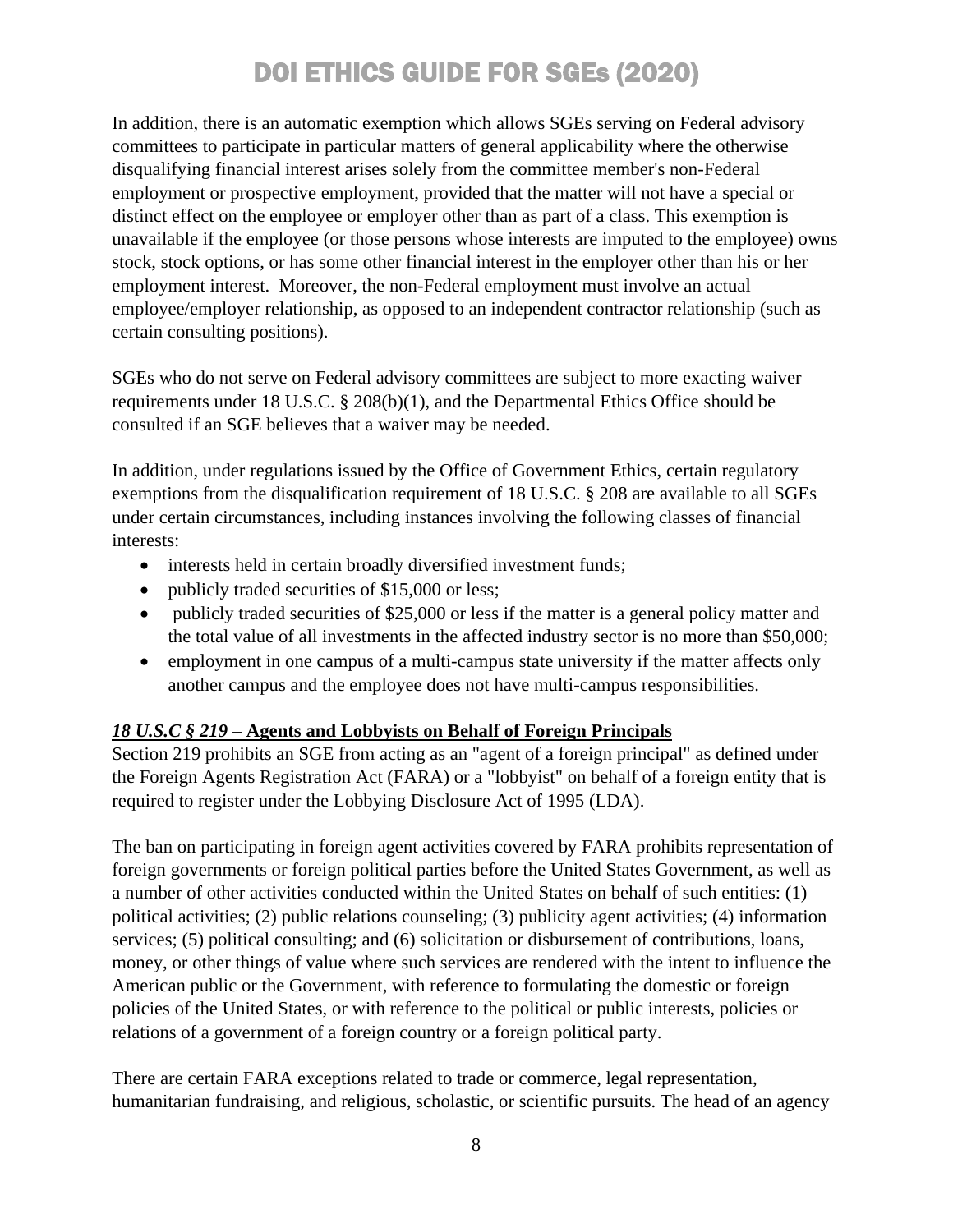In addition, there is an automatic exemption which allows SGEs serving on Federal advisory committees to participate in particular matters of general applicability where the otherwise disqualifying financial interest arises solely from the committee member's non-Federal employment or prospective employment, provided that the matter will not have a special or distinct effect on the employee or employer other than as part of a class. This exemption is unavailable if the employee (or those persons whose interests are imputed to the employee) owns stock, stock options, or has some other financial interest in the employer other than his or her employment interest. Moreover, the non-Federal employment must involve an actual employee/employer relationship, as opposed to an independent contractor relationship (such as certain consulting positions).

SGEs who do not serve on Federal advisory committees are subject to more exacting waiver requirements under 18 U.S.C. § 208(b)(1), and the Departmental Ethics Office should be consulted if an SGE believes that a waiver may be needed.

In addition, under regulations issued by the Office of Government Ethics, certain regulatory exemptions from the disqualification requirement of 18 U.S.C. § 208 are available to all SGEs under certain circumstances, including instances involving the following classes of financial interests:

- interests held in certain broadly diversified investment funds;
- publicly traded securities of \$15,000 or less;
- publicly traded securities of \$25,000 or less if the matter is a general policy matter and the total value of all investments in the affected industry sector is no more than \$50,000;
- employment in one campus of a multi-campus state university if the matter affects only another campus and the employee does not have multi-campus responsibilities.

### *18 U.S.C § 219* **– Agents and Lobbyists on Behalf of Foreign Principals**

Section 219 prohibits an SGE from acting as an "agent of a foreign principal" as defined under the Foreign Agents Registration Act (FARA) or a "lobbyist" on behalf of a foreign entity that is required to register under the Lobbying Disclosure Act of 1995 (LDA).

The ban on participating in foreign agent activities covered by FARA prohibits representation of foreign governments or foreign political parties before the United States Government, as well as a number of other activities conducted within the United States on behalf of such entities: (1) political activities; (2) public relations counseling; (3) publicity agent activities; (4) information services; (5) political consulting; and (6) solicitation or disbursement of contributions, loans, money, or other things of value where such services are rendered with the intent to influence the American public or the Government, with reference to formulating the domestic or foreign policies of the United States, or with reference to the political or public interests, policies or relations of a government of a foreign country or a foreign political party.

There are certain FARA exceptions related to trade or commerce, legal representation, humanitarian fundraising, and religious, scholastic, or scientific pursuits. The head of an agency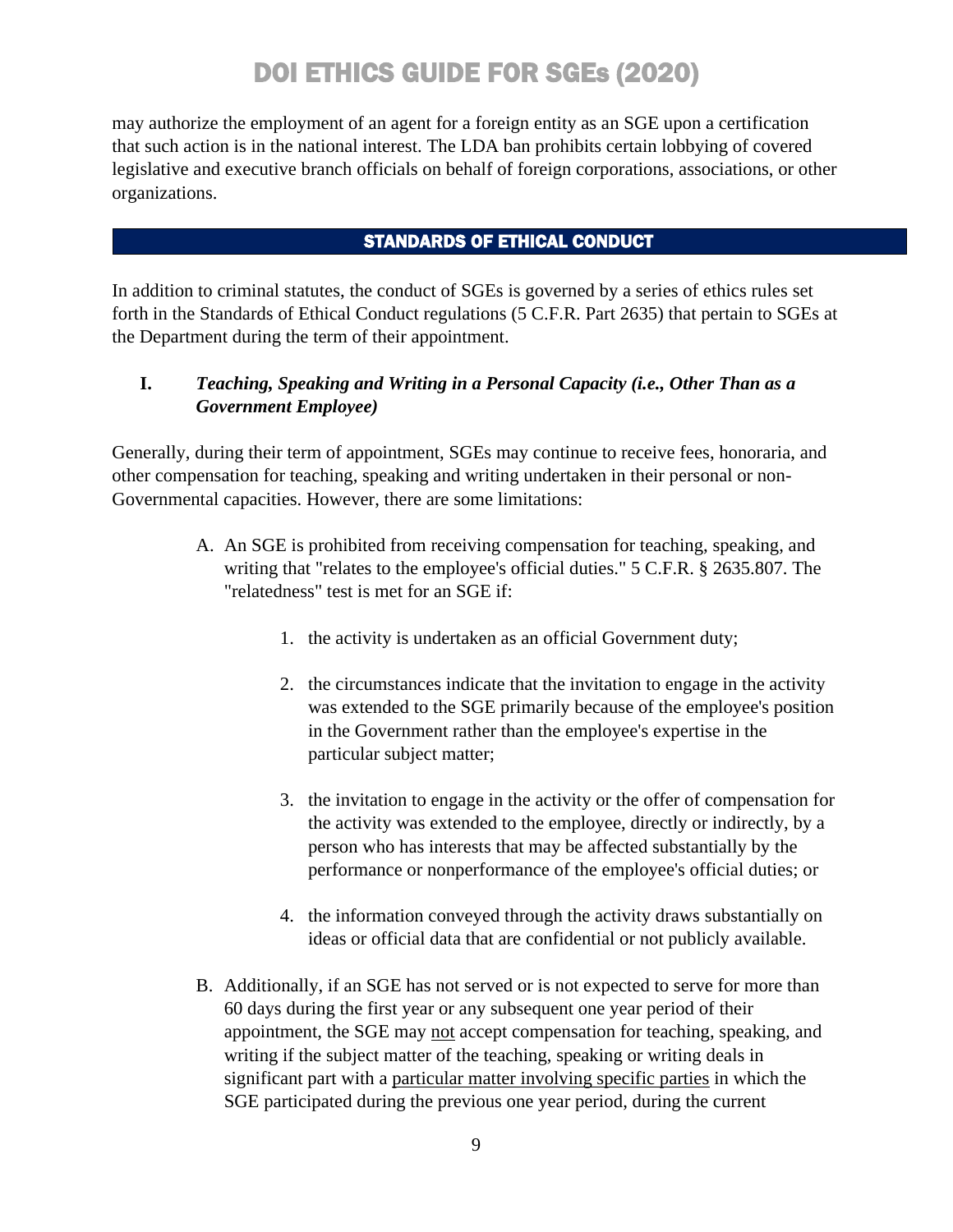may authorize the employment of an agent for a foreign entity as an SGE upon a certification that such action is in the national interest. The LDA ban prohibits certain lobbying of covered legislative and executive branch officials on behalf of foreign corporations, associations, or other organizations.

### STANDARDS OF ETHICAL CONDUCT

In addition to criminal statutes, the conduct of SGEs is governed by a series of ethics rules set forth in the Standards of Ethical Conduct regulations (5 C.F.R. Part 2635) that pertain to SGEs at the Department during the term of their appointment.

### **I.** *Teaching, Speaking and Writing in a Personal Capacity (i.e., Other Than as a Government Employee)*

Generally, during their term of appointment, SGEs may continue to receive fees, honoraria, and other compensation for teaching, speaking and writing undertaken in their personal or non-Governmental capacities. However, there are some limitations:

- A. An SGE is prohibited from receiving compensation for teaching, speaking, and writing that "relates to the employee's official duties." 5 C.F.R. § 2635.807. The "relatedness" test is met for an SGE if:
	- 1. the activity is undertaken as an official Government duty;
	- 2. the circumstances indicate that the invitation to engage in the activity was extended to the SGE primarily because of the employee's position in the Government rather than the employee's expertise in the particular subject matter;
	- 3. the invitation to engage in the activity or the offer of compensation for the activity was extended to the employee, directly or indirectly, by a person who has interests that may be affected substantially by the performance or nonperformance of the employee's official duties; or
	- 4. the information conveyed through the activity draws substantially on ideas or official data that are confidential or not publicly available.
- B. Additionally, if an SGE has not served or is not expected to serve for more than 60 days during the first year or any subsequent one year period of their appointment, the SGE may not accept compensation for teaching, speaking, and writing if the subject matter of the teaching, speaking or writing deals in significant part with a particular matter involving specific parties in which the SGE participated during the previous one year period, during the current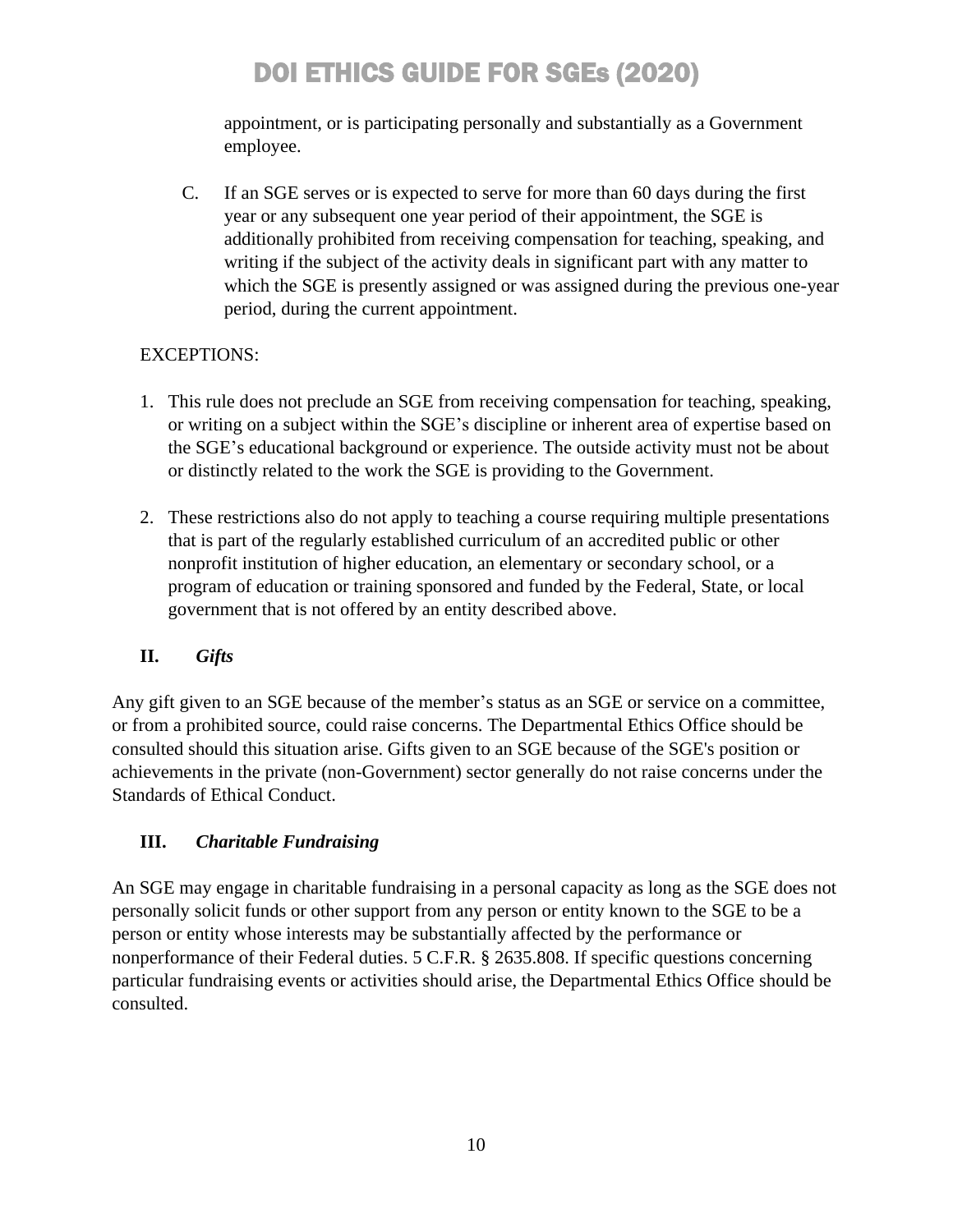appointment, or is participating personally and substantially as a Government employee.

C. If an SGE serves or is expected to serve for more than 60 days during the first year or any subsequent one year period of their appointment, the SGE is additionally prohibited from receiving compensation for teaching, speaking, and writing if the subject of the activity deals in significant part with any matter to which the SGE is presently assigned or was assigned during the previous one-year period, during the current appointment.

### EXCEPTIONS:

- 1. This rule does not preclude an SGE from receiving compensation for teaching, speaking, or writing on a subject within the SGE's discipline or inherent area of expertise based on the SGE's educational background or experience. The outside activity must not be about or distinctly related to the work the SGE is providing to the Government.
- 2. These restrictions also do not apply to teaching a course requiring multiple presentations that is part of the regularly established curriculum of an accredited public or other nonprofit institution of higher education, an elementary or secondary school, or a program of education or training sponsored and funded by the Federal, State, or local government that is not offered by an entity described above.

### **II.** *Gifts*

Any gift given to an SGE because of the member's status as an SGE or service on a committee, or from a prohibited source, could raise concerns. The Departmental Ethics Office should be consulted should this situation arise. Gifts given to an SGE because of the SGE's position or achievements in the private (non-Government) sector generally do not raise concerns under the Standards of Ethical Conduct.

### **III.** *Charitable Fundraising*

An SGE may engage in charitable fundraising in a personal capacity as long as the SGE does not personally solicit funds or other support from any person or entity known to the SGE to be a person or entity whose interests may be substantially affected by the performance or nonperformance of their Federal duties. 5 C.F.R. § 2635.808. If specific questions concerning particular fundraising events or activities should arise, the Departmental Ethics Office should be consulted.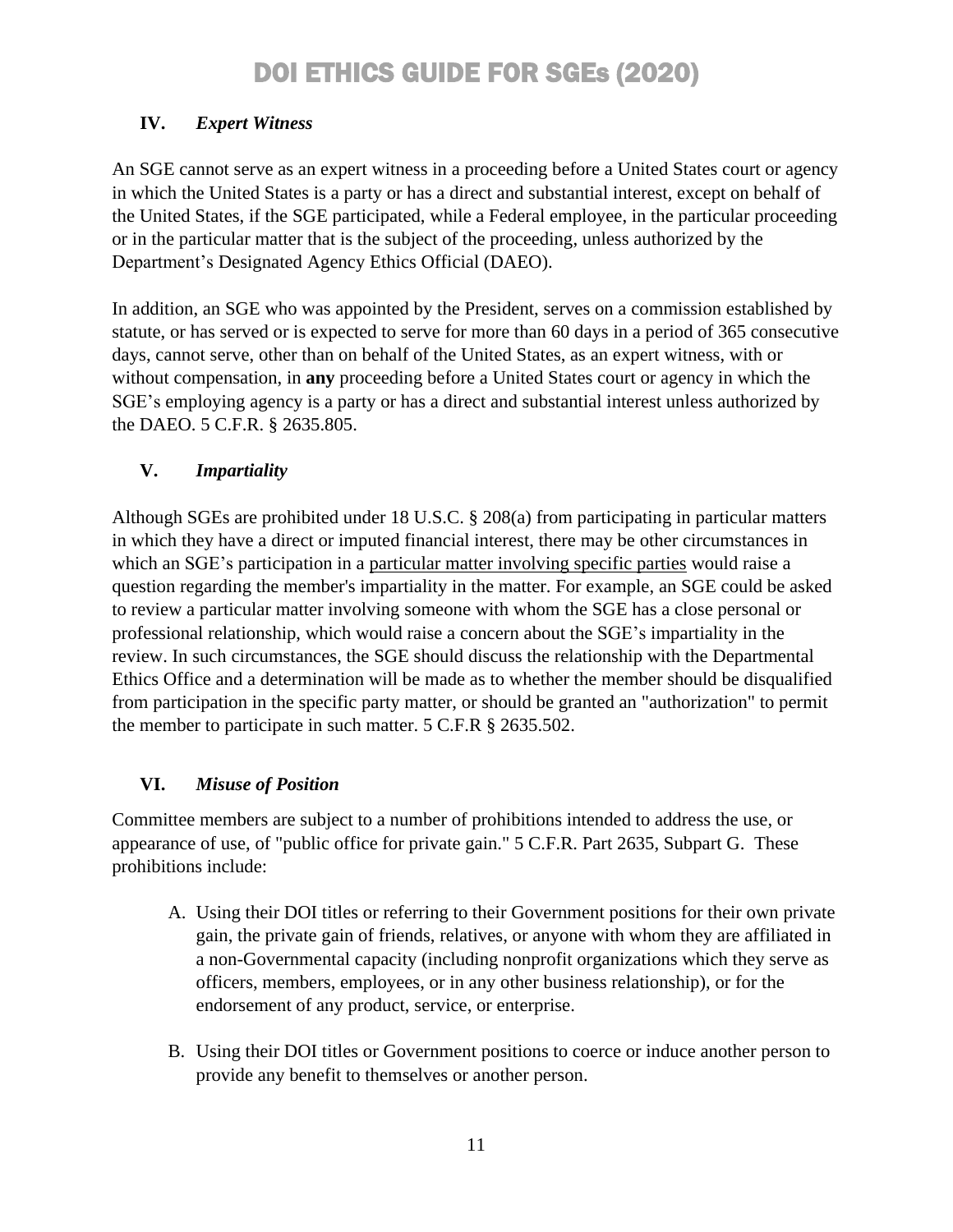### **IV.** *Expert Witness*

An SGE cannot serve as an expert witness in a proceeding before a United States court or agency in which the United States is a party or has a direct and substantial interest, except on behalf of the United States, if the SGE participated, while a Federal employee, in the particular proceeding or in the particular matter that is the subject of the proceeding, unless authorized by the Department's Designated Agency Ethics Official (DAEO).

In addition, an SGE who was appointed by the President, serves on a commission established by statute, or has served or is expected to serve for more than 60 days in a period of 365 consecutive days, cannot serve, other than on behalf of the United States, as an expert witness, with or without compensation, in **any** proceeding before a United States court or agency in which the SGE's employing agency is a party or has a direct and substantial interest unless authorized by the DAEO. 5 C.F.R. § 2635.805.

### **V.** *Impartiality*

Although SGEs are prohibited under 18 U.S.C. § 208(a) from participating in particular matters in which they have a direct or imputed financial interest, there may be other circumstances in which an SGE's participation in a particular matter involving specific parties would raise a question regarding the member's impartiality in the matter. For example, an SGE could be asked to review a particular matter involving someone with whom the SGE has a close personal or professional relationship, which would raise a concern about the SGE's impartiality in the review. In such circumstances, the SGE should discuss the relationship with the Departmental Ethics Office and a determination will be made as to whether the member should be disqualified from participation in the specific party matter, or should be granted an "authorization" to permit the member to participate in such matter. 5 C.F.R § 2635.502.

### **VI.** *Misuse of Position*

Committee members are subject to a number of prohibitions intended to address the use, or appearance of use, of "public office for private gain." 5 C.F.R. Part 2635, Subpart G. These prohibitions include:

- A. Using their DOI titles or referring to their Government positions for their own private gain, the private gain of friends, relatives, or anyone with whom they are affiliated in a non-Governmental capacity (including nonprofit organizations which they serve as officers, members, employees, or in any other business relationship), or for the endorsement of any product, service, or enterprise.
- B. Using their DOI titles or Government positions to coerce or induce another person to provide any benefit to themselves or another person.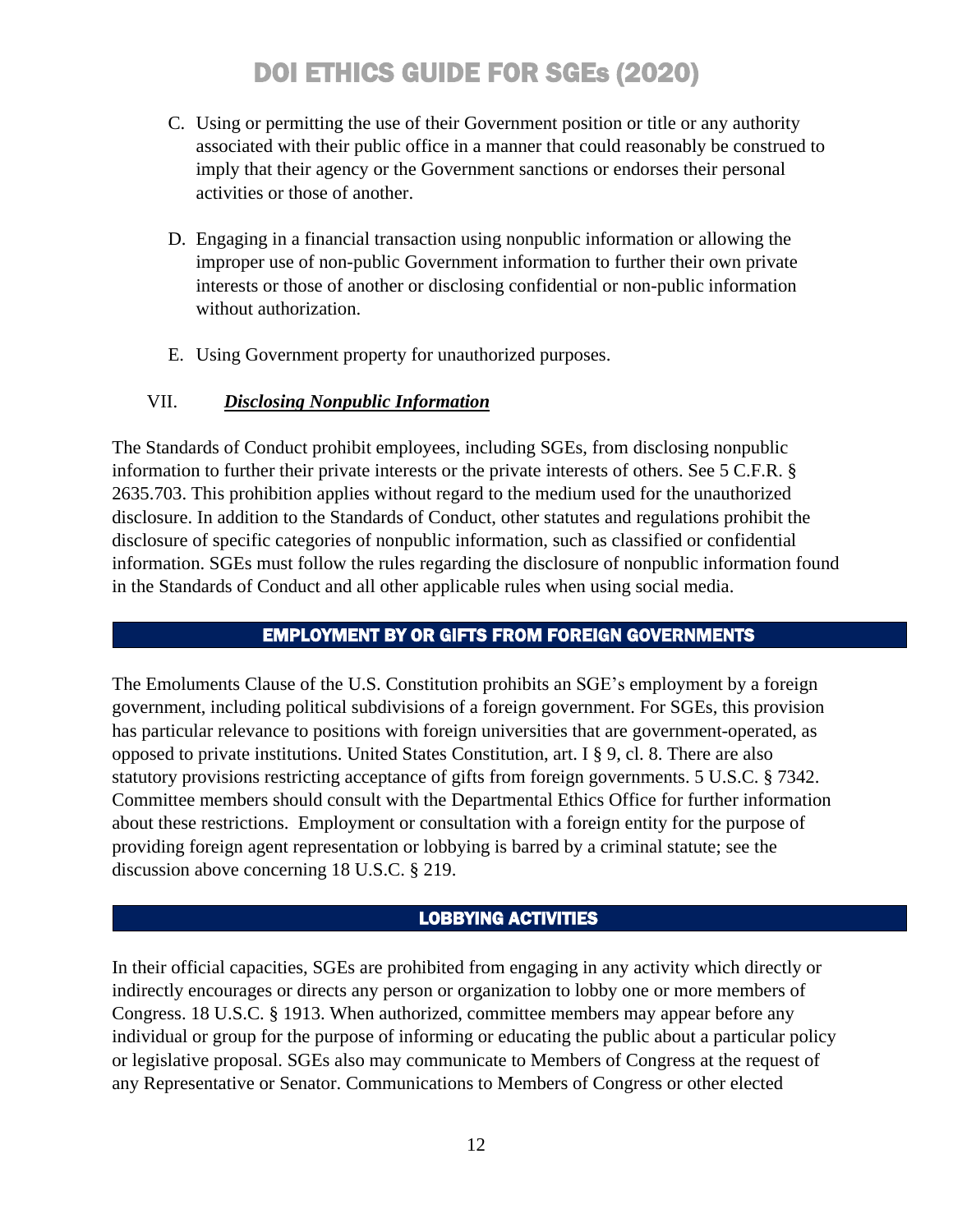- C. Using or permitting the use of their Government position or title or any authority associated with their public office in a manner that could reasonably be construed to imply that their agency or the Government sanctions or endorses their personal activities or those of another.
- D. Engaging in a financial transaction using nonpublic information or allowing the improper use of non-public Government information to further their own private interests or those of another or disclosing confidential or non-public information without authorization.
- E. Using Government property for unauthorized purposes.

### VII. *Disclosing Nonpublic Information*

The Standards of Conduct prohibit employees, including SGEs, from disclosing nonpublic information to further their private interests or the private interests of others. See 5 C.F.R. § 2635.703. This prohibition applies without regard to the medium used for the unauthorized disclosure. In addition to the Standards of Conduct, other statutes and regulations prohibit the disclosure of specific categories of nonpublic information, such as classified or confidential information. SGEs must follow the rules regarding the disclosure of nonpublic information found in the Standards of Conduct and all other applicable rules when using social media.

### EMPLOYMENT BY OR GIFTS FROM FOREIGN GOVERNMENTS

The Emoluments Clause of the U.S. Constitution prohibits an SGE's employment by a foreign government, including political subdivisions of a foreign government. For SGEs, this provision has particular relevance to positions with foreign universities that are government-operated, as opposed to private institutions. United States Constitution, art. I § 9, cl. 8. There are also statutory provisions restricting acceptance of gifts from foreign governments. 5 U.S.C. § 7342. Committee members should consult with the Departmental Ethics Office for further information about these restrictions. Employment or consultation with a foreign entity for the purpose of providing foreign agent representation or lobbying is barred by a criminal statute; see the discussion above concerning 18 U.S.C. § 219.

### LOBBYING ACTIVITIES

In their official capacities, SGEs are prohibited from engaging in any activity which directly or indirectly encourages or directs any person or organization to lobby one or more members of Congress. 18 U.S.C. § 1913. When authorized, committee members may appear before any individual or group for the purpose of informing or educating the public about a particular policy or legislative proposal. SGEs also may communicate to Members of Congress at the request of any Representative or Senator. Communications to Members of Congress or other elected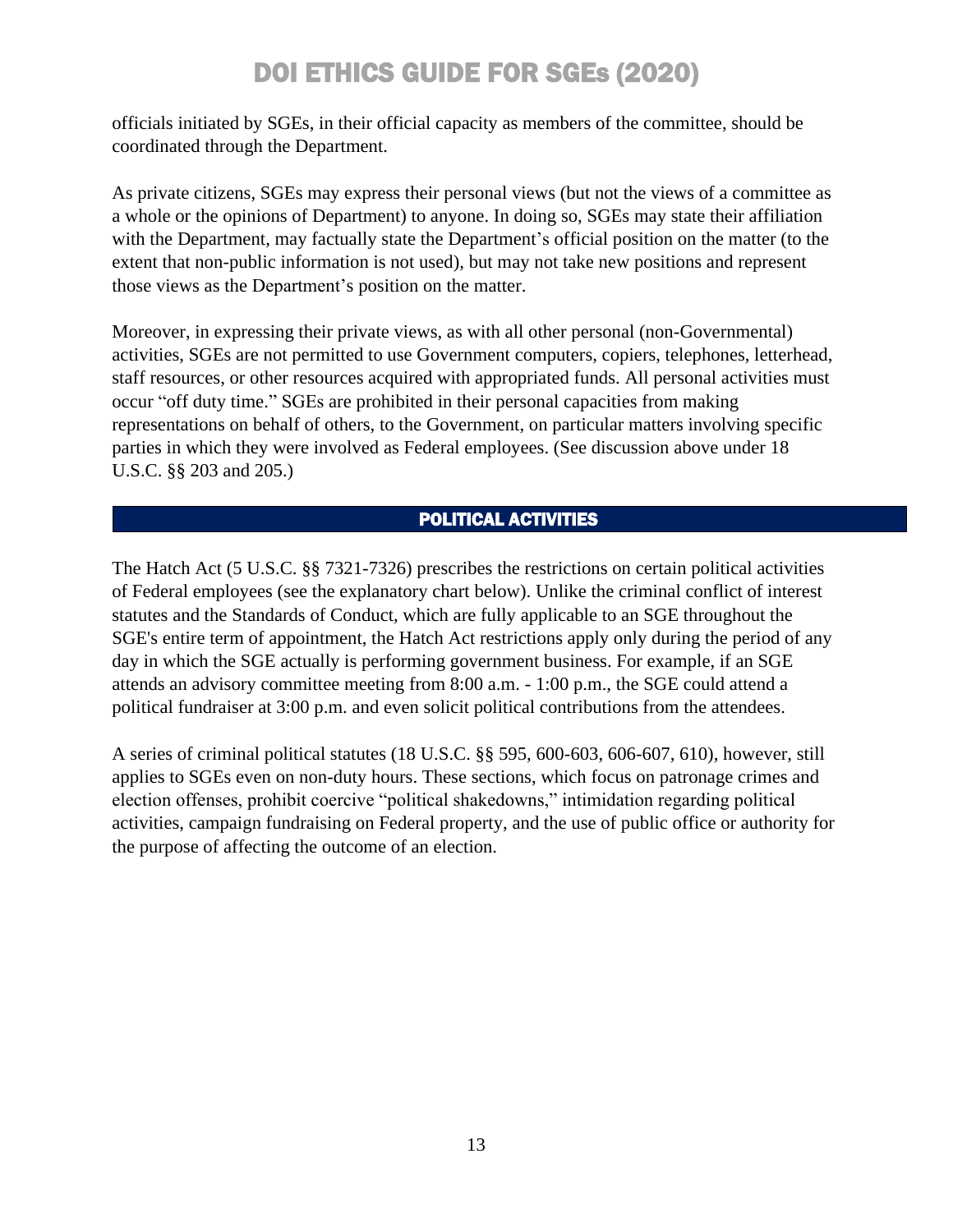officials initiated by SGEs, in their official capacity as members of the committee, should be coordinated through the Department.

As private citizens, SGEs may express their personal views (but not the views of a committee as a whole or the opinions of Department) to anyone. In doing so, SGEs may state their affiliation with the Department, may factually state the Department's official position on the matter (to the extent that non-public information is not used), but may not take new positions and represent those views as the Department's position on the matter.

Moreover, in expressing their private views, as with all other personal (non-Governmental) activities, SGEs are not permitted to use Government computers, copiers, telephones, letterhead, staff resources, or other resources acquired with appropriated funds. All personal activities must occur "off duty time." SGEs are prohibited in their personal capacities from making representations on behalf of others, to the Government, on particular matters involving specific parties in which they were involved as Federal employees. (See discussion above under 18 U.S.C. §§ 203 and 205.)

### POLITICAL ACTIVITIES

The Hatch Act (5 U.S.C. §§ 7321-7326) prescribes the restrictions on certain political activities of Federal employees (see the explanatory chart below). Unlike the criminal conflict of interest statutes and the Standards of Conduct, which are fully applicable to an SGE throughout the SGE's entire term of appointment, the Hatch Act restrictions apply only during the period of any day in which the SGE actually is performing government business. For example, if an SGE attends an advisory committee meeting from 8:00 a.m. - 1:00 p.m., the SGE could attend a political fundraiser at 3:00 p.m. and even solicit political contributions from the attendees.

A series of criminal political statutes (18 U.S.C. §§ 595, 600-603, 606-607, 610), however, still applies to SGEs even on non-duty hours. These sections, which focus on patronage crimes and election offenses, prohibit coercive "political shakedowns," intimidation regarding political activities, campaign fundraising on Federal property, and the use of public office or authority for the purpose of affecting the outcome of an election.